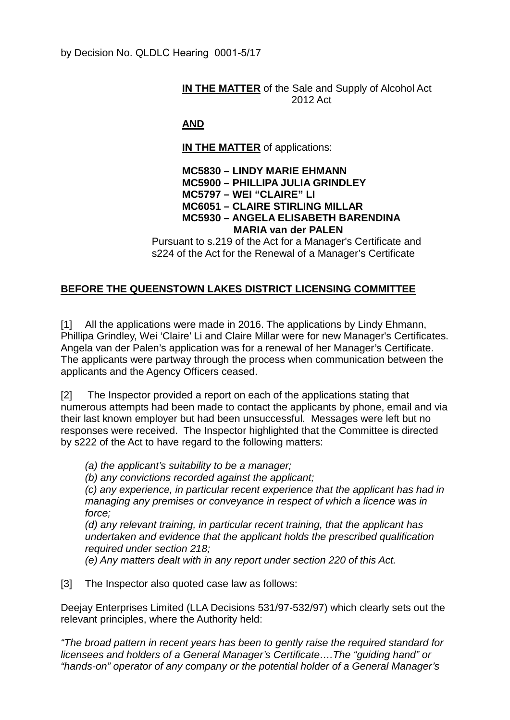## **IN THE MATTER** of the Sale and Supply of Alcohol Act 2012 Act

## **AND**

**IN THE MATTER** of applications:

## **MC5830 – LINDY MARIE EHMANN MC5900 – PHILLIPA JULIA GRINDLEY MC5797 – WEI "CLAIRE" LI MC6051 – CLAIRE STIRLING MILLAR MC5930 – ANGELA ELISABETH BARENDINA MARIA van der PALEN**

Pursuant to s.219 of the Act for a Manager's Certificate and s224 of the Act for the Renewal of a Manager's Certificate

## **BEFORE THE QUEENSTOWN LAKES DISTRICT LICENSING COMMITTEE**

[1] All the applications were made in 2016. The applications by Lindy Ehmann, Phillipa Grindley, Wei 'Claire' Li and Claire Millar were for new Manager's Certificates. Angela van der Palen's application was for a renewal of her Manager's Certificate. The applicants were partway through the process when communication between the applicants and the Agency Officers ceased.

[2] The Inspector provided a report on each of the applications stating that numerous attempts had been made to contact the applicants by phone, email and via their last known employer but had been unsuccessful. Messages were left but no responses were received. The Inspector highlighted that the Committee is directed by s222 of the Act to have regard to the following matters:

*(a) the applicant's suitability to be a manager;*

*(b) any convictions recorded against the applicant;*

*(c) any experience, in particular recent experience that the applicant has had in managing any premises or conveyance in respect of which a licence was in force;*

*(d) any relevant training, in particular recent training, that the applicant has undertaken and evidence that the applicant holds the prescribed qualification required under section 218;*

*(e) Any matters dealt with in any report under section 220 of this Act.*

[3] The Inspector also quoted case law as follows:

Deejay Enterprises Limited (LLA Decisions 531/97-532/97) which clearly sets out the relevant principles, where the Authority held:

*"The broad pattern in recent years has been to gently raise the required standard for licensees and holders of a General Manager's Certificate….The "guiding hand" or "hands-on" operator of any company or the potential holder of a General Manager's*